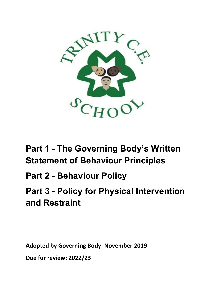

# **Part 1 - The Governing Body's Written Statement of Behaviour Principles**

# **Part 2 - Behaviour Policy**

# **Part 3 - Policy for Physical Intervention and Restraint**

**Adopted by Governing Body: November 2019**

**Due for review: 2022/23**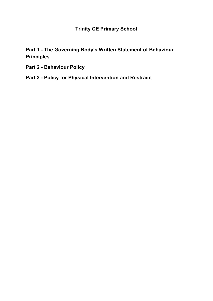**Trinity CE Primary School**

**Part 1 - The Governing Body's Written Statement of Behaviour Principles**

- **Part 2 - Behaviour Policy**
- **Part 3 - Policy for Physical Intervention and Restraint**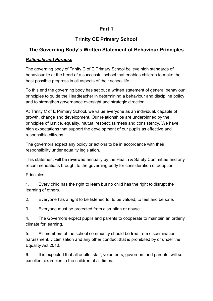# **Part 1**

# **Trinity CE Primary School**

## **The Governing Body's Written Statement of Behaviour Principles**

## *Rationale and Purpose*

The governing body of Trinity C of E Primary School believe high standards of behaviour lie at the heart of a successful school that enables children to make the best possible progress in all aspects of their school life.

To this end the governing body has set out a written statement of general behaviour principles to guide the Headteacher in determining a behaviour and discipline policy, and to strengthen governance oversight and strategic direction.

At Trinity C of E Primary School, we value everyone as an individual, capable of growth, change and development. Our relationships are underpinned by the principles of justice, equality, mutual respect, fairness and consistency. We have high expectations that support the development of our pupils as effective and responsible citizens.

The governors expect any policy or actions to be in accordance with their responsibility under equality legislation.

This statement will be reviewed annually by the Health & Safety Committee and any recommendations brought to the governing body for consideration of adoption.

Principles:

1. Every child has the right to learn but no child has the right to disrupt the learning of others.

2. Everyone has a right to be listened to, to be valued, to feel and be safe.

3. Everyone must be protected from disruption or abuse.

4. The Governors expect pupils and parents to cooperate to maintain an orderly climate for learning.

5. All members of the school community should be free from discrimination, harassment, victimisation and any other conduct that is prohibited by or under the Equality Act 2010.

6. It is expected that all adults, staff, volunteers, governors and parents, will set excellent examples to the children at all times.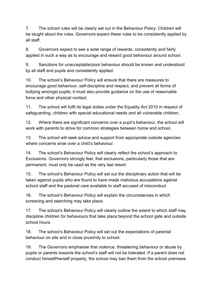7. The school rules will be clearly set out in the Behaviour Policy. Children will be taught about the rules. Governors expect these rules to be consistently applied by all staff.

8. Governors expect to see a wide range of rewards, consistently and fairly applied in such a way as to encourage and reward good behaviour around school.

9. Sanctions for unacceptable/poor behaviour should be known and understood by all staff and pupils and consistently applied.

10. The school's Behaviour Policy will ensure that there are measures to encourage good behaviour, self-discipline and respect, and prevent all forms of bullying amongst pupils; it must also provide guidance on the use of reasonable force and other physical contact.

11. The school will fulfil its legal duties under the Equality Act 2010 in respect of safeguarding, children with special educational needs and all vulnerable children.

12. Where there are significant concerns over a pupil's behaviour, the school will work with parents to strive for common strategies between home and school.

13. The school will seek advice and support from appropriate outside agencies where concerns arise over a child's behaviour.

14. The school's Behaviour Policy will clearly reflect the school's approach to Exclusions. Governors strongly feel, that exclusions, particularly those that are permanent, must only be used as the very last resort.

15. The school's Behaviour Policy will set out the disciplinary action that will be taken against pupils who are found to have made malicious accusations against school staff and the pastoral care available to staff accused of misconduct.

16. The school's Behaviour Policy will explain the circumstances in which screening and searching may take place.

17. The school's Behaviour Policy will clearly outline the extent to which staff may discipline children for behaviours that take place beyond the school gate and outside school hours.

18. The school's Behaviour Policy will set out the expectations of parental behaviour on site and in close proximity to school.

19. The Governors emphasise that violence, threatening behaviour or abuse by pupils or parents towards the school's staff will not be tolerated. If a parent does not conduct himself/herself properly, the school may ban them from the school premises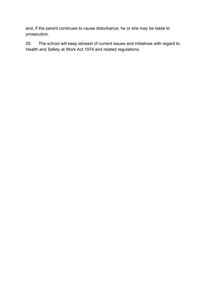and, if the parent continues to cause disturbance, he or she may be liable to prosecution.

20. The school will keep abreast of current issues and initiatives with regard to Health and Safety at Work Act 1974 and related regulations.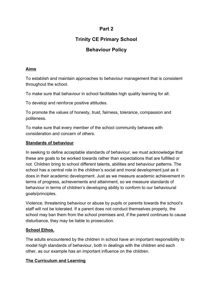# **Part 2**

# **Trinity CE Primary School**

# **Behaviour Policy**

## **Aims**

To establish and maintain approaches to behaviour management that is consistent throughout the school.

To make sure that behaviour in school facilitates high quality learning for all.

To develop and reinforce positive attitudes.

To promote the values of honesty, trust, fairness, tolerance, compassion and politeness.

To make sure that every member of the school community behaves with consideration and concern of others.

#### **Standards of behaviour**

In seeking to define acceptable standards of behaviour, we must acknowledge that these are goals to be worked towards rather than expectations that are fulfilled or not. Children bring to school different talents, abilities and behaviour patterns. The school has a central role in the children's social and moral development just as it does in their academic development. Just as we measure academic achievement in terms of progress, achievements and attainment, so we measure standards of behaviour in terms of children's developing ability to conform to our behavioural goals/principles.

Violence, threatening behaviour or abuse by pupils or parents towards the school's staff will not be tolerated. If a parent does not conduct themselves properly, the school may ban them from the school premises and, if the parent continues to cause disturbance, they may be liable to prosecution.

## **School Ethos.**

The adults encountered by the children in school have an important responsibility to model high standards of behaviour, both in dealings with the children and each other, as our example has an important influence on the children.

## **The Curriculum and Learning**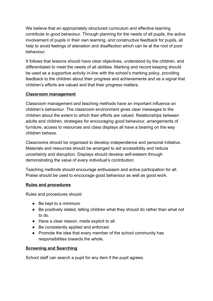We believe that an appropriately structured curriculum and effective learning contribute to good behaviour. Through planning for the needs of all pupils, the active involvement of pupils in their own learning, and constructive feedback for pupils, all help to avoid feelings of alienation and disaffection which can lie at the root of poor behaviour.

It follows that lessons should have clear objectives, understood by the children, and differentiated to meet the needs of all abilities. Marking and record keeping should be used as a supportive activity in-line with the school's marking policy, providing feedback to the children about their progress and achievements and as a signal that children's efforts are valued and that their progress matters.

#### **Classroom management**

Classroom management and teaching methods have an important influence on children's behaviour. The classroom environment gives clear messages to the children about the extent to which their efforts are valued. Relationships between adults and children, strategies for encouraging good behaviour, arrangements of furniture, access to resources and class displays all have a bearing on the way children behave.

Classrooms should be organised to develop independence and personal initiative. Materials and resources should be arranged to aid accessibility and reduce uncertainty and disruption. Displays should develop self-esteem through demonstrating the value of every individual's contribution.

Teaching methods should encourage enthusiasm and active participation for all. Praise should be used to encourage good behaviour as well as good work.

## **Rules and procedures**

Rules and procedures should

- Be kept to a minimum
- Be positively stated, telling children what they should do rather than what not to do.
- Have a clear reason, made explicit to all
- Be consistently applied and enforced.
- Promote the idea that every member of the school community has responsibilities towards the whole.

#### **Screening and Searching**

School staff can search a pupil for any item if the pupil agrees.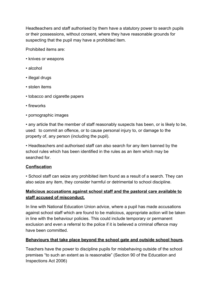Headteachers and staff authorised by them have a statutory power to search pupils or their possessions, without consent, where they have reasonable grounds for suspecting that the pupil may have a prohibited item.

Prohibited items are:

- knives or weapons
- alcohol
- illegal drugs
- stolen items
- tobacco and cigarette papers
- fireworks
- pornographic images

• any article that the member of staff reasonably suspects has been, or is likely to be, used: to commit an offence, or to cause personal injury to, or damage to the property of, any person (including the pupil).

• Headteachers and authorised staff can also search for any item banned by the school rules which has been identified in the rules as an item which may be searched for.

## **Confiscation**

• School staff can seize any prohibited item found as a result of a search. They can also seize any item, they consider harmful or detrimental to school discipline.

## **Malicious accusations against school staff and the pastoral care available to staff accused of misconduct.**

In line with National Education Union advice, where a pupil has made accusations against school staff which are found to be malicious, appropriate action will be taken in line with the behaviour policies. This could include temporary or permanent exclusion and even a referral to the police if it is believed a criminal offence may have been committed.

## **Behaviours that take place beyond the school gate and outside school hours.**

Teachers have the power to discipline pupils for misbehaving outside of the school premises "to such an extent as is reasonable" (Section 90 of the Education and Inspections Act 2006)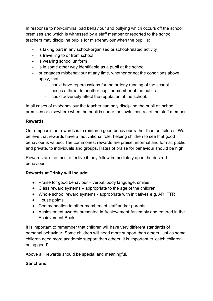In response to non-criminal bad behaviour and bullying which occurs off the school premises and which is witnessed by a staff member or reported to the school, teachers may discipline pupils for misbehaviour when the pupil is:

- is taking part in any school-organised or school-related activity
- is travelling to or from school
- is wearing school uniform
- is in some other way identifiable as a pupil at the school.
- or engages misbehaviour at any time, whether or not the conditions above apply, that:
	- could have repercussions for the orderly running of the school
	- poses a threat to another pupil or member of the public
	- could adversely affect the reputation of the school.

In all cases of misbehaviour the teacher can only discipline the pupil on school premises or elsewhere when the pupil is under the lawful control of the staff member.

## **Rewards**

Our emphasis on rewards is to reinforce good behaviour rather than on failures. We believe that rewards have a motivational role, helping children to see that good behaviour is valued. The commonest rewards are praise, informal and formal, public and private, to individuals and groups. Rates of praise for behaviour should be high.

Rewards are the most effective if they follow immediately upon the desired behaviour.

## **Rewards at Trinity will include:**

- Praise for good behaviour verbal, body language, smiles
- Class reward systems appropriate to the age of the children
- Whole school reward systems appropriate with initiatives e.g. AR, TTR
- House points
- Commendation to other members of staff and/or parents
- Achievement awards presented in Achievement Assembly and entered in the Achievement Book.

It is important to remember that children will have very different standards of personal behaviour. Some children will need more support than others, just as some children need more academic support than others. It is important to 'catch children being good'.

Above all, rewards should be special and meaningful.

## **Sanctions**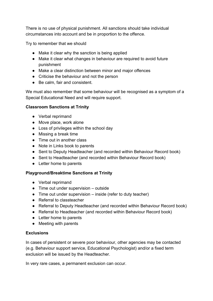There is no use of physical punishment. All sanctions should take individual circumstances into account and be in proportion to the offence.

Try to remember that we should

- Make it clear why the sanction is being applied
- Make it clear what changes in behaviour are required to avoid future punishment
- Make a clear distinction between minor and major offences
- Criticise the behaviour and not the person
- Be calm, fair and consistent.

We must also remember that some behaviour will be recognised as a symptom of a Special Educational Need and will require support.

#### **Classroom Sanctions at Trinity**

- Verbal reprimand
- Move place, work alone
- Loss of privileges within the school day
- Missing a break time
- Time out in another class
- Note in Links book to parents
- Sent to Deputy Headteacher (and recorded within Behaviour Record book)
- Sent to Headteacher (and recorded within Behaviour Record book)
- Letter home to parents

#### **Playground/Breaktime Sanctions at Trinity**

- Verbal reprimand
- Time out under supervision outside
- Time out under supervision inside (refer to duty teacher)
- Referral to classteacher
- Referral to Deputy Headteacher (and recorded within Behaviour Record book)
- Referral to Headteacher (and recorded within Behaviour Record book)
- Letter home to parents
- Meeting with parents

#### **Exclusions**

In cases of persistent or severe poor behaviour, other agencies may be contacted (e.g. Behaviour support service, Educational Psychologist) and/or a fixed term exclusion will be issued by the Headteacher.

In very rare cases, a permanent exclusion can occur.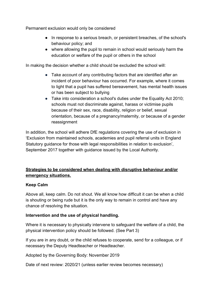Permanent exclusion would only be considered

- In response to a serious breach, or persistent breaches, of the school's behaviour policy; and
- where allowing the pupil to remain in school would seriously harm the education or welfare of the pupil or others in the school

In making the decision whether a child should be excluded the school will:

- Take account of any contributing factors that are identified after an incident of poor behaviour has occurred. For example, where it comes to light that a pupil has suffered bereavement, has mental health issues or has been subject to bullying
- Take into consideration a school's duties under the Equality Act 2010; schools must not discriminate against, harass or victimise pupils because of their sex, race, disability, religion or belief, sexual orientation, because of a pregnancy/maternity, or because of a gender reassignment

In addition, the school will adhere DfE regulations covering the use of exclusion in 'Exclusion from maintained schools, academies and pupil referral units in England Statutory guidance for those with legal responsibilities in relation to exclusion', September 2017 together with guidance issued by the Local Authority.

## **Strategies to be considered when dealing with disruptive behaviour and/or emergency situations.**

#### **Keep Calm**

Above all, keep calm. Do not shout. We all know how difficult it can be when a child is shouting or being rude but it is the only way to remain in control and have any chance of resolving the situation.

#### **Intervention and the use of physical handling.**

Where it is necessary to physically intervene to safeguard the welfare of a child, the physical intervention policy should be followed. (See Part 3)

If you are in any doubt, or the child refuses to cooperate, send for a colleague, or if necessary the Deputy Headteacher or Headteacher.

Adopted by the Governing Body: November 2019

Date of next review: 2020/21 (unless earlier review becomes necessary)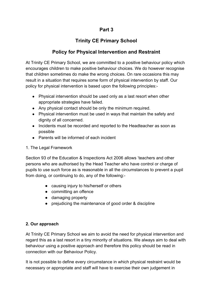## **Part 3**

# **Trinity CE Primary School**

# **Policy for Physical Intervention and Restraint**

At Trinity CE Primary School, we are committed to a positive behaviour policy which encourages children to make positive behaviour choices. We do however recognise that children sometimes do make the wrong choices. On rare occasions this may result in a situation that requires some form of physical intervention by staff. Our policy for physical intervention is based upon the following principles:-

- Physical intervention should be used only as a last resort when other appropriate strategies have failed.
- Any physical contact should be only the minimum required.
- Physical intervention must be used in ways that maintain the safety and dignity of all concerned.
- Incidents must be recorded and reported to the Headteacher as soon as possible
- Parents will be informed of each incident
- 1. The Legal Framework

Section 93 of the Education & Inspections Act 2006 allows 'teachers and other persons who are authorised by the Head Teacher who have control or charge of pupils to use such force as is reasonable in all the circumstances to prevent a pupil from doing, or continuing to do, any of the following:-

- causing injury to his/herself or others
- committing an offence
- damaging property
- prejudicing the maintenance of good order & discipline

## **2. Our approach**

At Trinity CE Primary School we aim to avoid the need for physical intervention and regard this as a last resort in a tiny minority of situations. We always aim to deal with behaviour using a positive approach and therefore this policy should be read in connection with our Behaviour Policy.

It is not possible to define every circumstance in which physical restraint would be necessary or appropriate and staff will have to exercise their own judgement in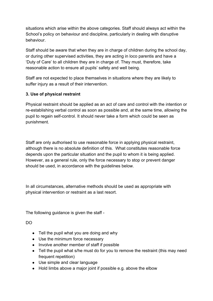situations which arise within the above categories. Staff should always act within the School's policy on behaviour and discipline, particularly in dealing with disruptive behaviour.

Staff should be aware that when they are in charge of children during the school day, or during other supervised activities, they are acting in loco parentis and have a 'Duty of Care' to all children they are in charge of. They must, therefore, take reasonable action to ensure all pupils' safety and well being.

Staff are not expected to place themselves in situations where they are likely to suffer injury as a result of their intervention.

## **3. Use of physical restraint**

Physical restraint should be applied as an act of care and control with the intention or re-establishing verbal control as soon as possible and, at the same time, allowing the pupil to regain self-control. It should never take a form which could be seen as punishment.

Staff are only authorised to use reasonable force in applying physical restraint, although there is no absolute definition of this. What constitutes reasonable force depends upon the particular situation and the pupil to whom it is being applied. However, as a general rule, only the force necessary to stop or prevent danger should be used, in accordance with the guidelines below.

In all circumstances, alternative methods should be used as appropriate with physical intervention or restraint as a last resort.

The following guidance is given the staff -

DO

- Tell the pupil what you are doing and why
- Use the minimum force necessary
- Involve another member of staff if possible
- Tell the pupil what s/he must do for you to remove the restraint (this may need frequent repetition)
- Use simple and clear language
- Hold limbs above a major joint if possible e.g. above the elbow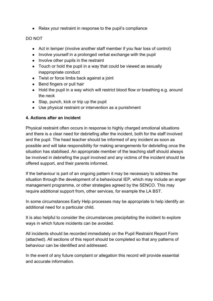● Relax your restraint in response to the pupil's compliance

## DO NOT

- Act in temper (involve another staff member if you fear loss of control)
- Involve yourself in a prolonged verbal exchange with the pupil
- Involve other pupils in the restraint
- Touch or hold the pupil in a way that could be viewed as sexually inappropriate conduct
- Twist or force limbs back against a joint
- Bend fingers or pull hair
- Hold the pupil in a way which will restrict blood flow or breathing e.g. around the neck
- Slap, punch, kick or trip up the pupil
- Use physical restraint or intervention as a punishment

#### **4. Actions after an incident**

Physical restraint often occurs in response to highly charged emotional situations and there is a clear need for debriefing after the incident, both for the staff involved and the pupil. The head teacher should be informed of any incident as soon as possible and will take responsibility for making arrangements for debriefing once the situation has stabilised. An appropriate member of the teaching staff should always be involved in debriefing the pupil involved and any victims of the incident should be offered support, and their parents informed.

If the behaviour is part of an ongoing pattern it may be necessary to address the situation through the development of a behavioural IEP, which may include an anger management programme, or other strategies agreed by the SENCO. This may require additional support from, other services, for example the LA BST.

In some circumstances Early Help processes may be appropriate to help identify an additional need for a particular child.

It is also helpful to consider the circumstances precipitating the incident to explore ways in which future incidents can be avoided.

All incidents should be recorded immediately on the Pupil Restraint Report Form (attached). All sections of this report should be completed so that any patterns of behaviour can be identified and addressed.

In the event of any future complaint or allegation this record will provide essential and accurate information.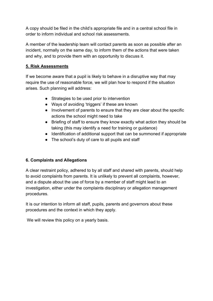A copy should be filed in the child's appropriate file and in a central school file in order to inform individual and school risk assessments.

A member of the leadership team will contact parents as soon as possible after an incident, normally on the same day, to inform them of the actions that were taken and why, and to provide them with an opportunity to discuss it.

#### **5. Risk Assessments**

If we become aware that a pupil is likely to behave in a disruptive way that may require the use of reasonable force, we will plan how to respond if the situation arises. Such planning will address:

- Strategies to be used prior to intervention
- Ways of avoiding 'triggers' if these are known
- Involvement of parents to ensure that they are clear about the specific actions the school might need to take
- Briefing of staff to ensure they know exactly what action they should be taking (this may identify a need for training or guidance)
- Identification of additional support that can be summoned if appropriate
- The school's duty of care to all pupils and staff

## **6. Complaints and Allegations**

A clear restraint policy, adhered to by all staff and shared with parents, should help to avoid complaints from parents. It is unlikely to prevent all complaints, however, and a dispute about the use of force by a member of staff might lead to an investigation, either under the complaints disciplinary or allegation management procedures.

It is our intention to inform all staff, pupils, parents and governors about these procedures and the context in which they apply.

We will review this policy on a yearly basis.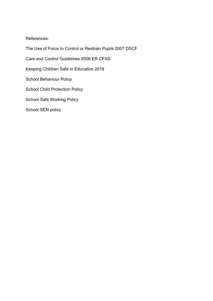#### References:

The Use of Force to Control or Restrain Pupils 2007 DSCF Care and Control Guidelines 2006 ER CFAS Keeping Children Safe in Education 2019 School Behaviour Policy School Child Protection Policy School Safe Working Policy School SEN policy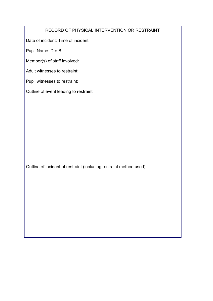## RECORD OF PHYSICAL INTERVENTION OR RESTRAINT

Date of incident: Time of incident:

Pupil Name: D.o.B:

Member(s) of staff involved:

Adult witnesses to restraint:

Pupil witnesses to restraint:

Outline of event leading to restraint:

Outline of incident of restraint (including restraint method used):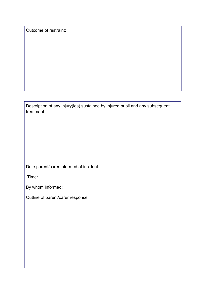Outcome of restraint:

Description of any injury(ies) sustained by injured pupil and any subsequent treatment:

Date parent/carer informed of incident:

Time:

By whom informed:

Outline of parent/carer response: